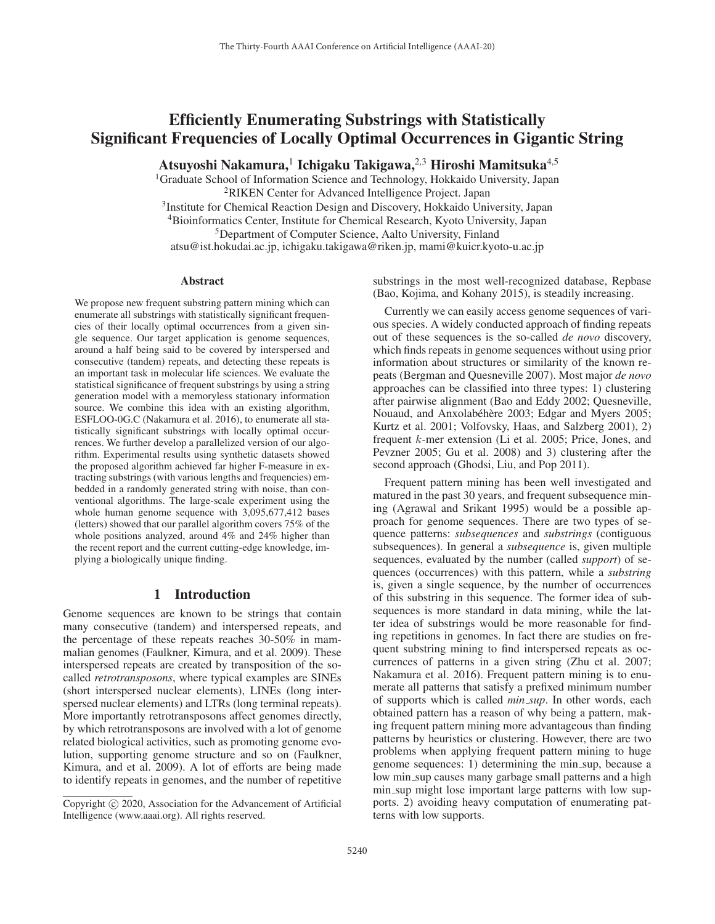# Efficiently Enumerating Substrings with Statistically Significant Frequencies of Locally Optimal Occurrences in Gigantic String

Atsuyoshi Nakamura,<sup>1</sup> Ichigaku Takigawa,<sup>2,3</sup> Hiroshi Mamitsuka<sup>4,5</sup>

<sup>1</sup>Graduate School of Information Science and Technology, Hokkaido University, Japan 2RIKEN Center for Advanced Intelligence Project. Japan

<sup>3</sup>Institute for Chemical Reaction Design and Discovery, Hokkaido University, Japan

4Bioinformatics Center, Institute for Chemical Research, Kyoto University, Japan

<sup>5</sup>Department of Computer Science, Aalto University, Finland

atsu@ist.hokudai.ac.jp, ichigaku.takigawa@riken.jp, mami@kuicr.kyoto-u.ac.jp

#### Abstract

We propose new frequent substring pattern mining which can enumerate all substrings with statistically significant frequencies of their locally optimal occurrences from a given single sequence. Our target application is genome sequences, around a half being said to be covered by interspersed and consecutive (tandem) repeats, and detecting these repeats is an important task in molecular life sciences. We evaluate the statistical significance of frequent substrings by using a string generation model with a memoryless stationary information source. We combine this idea with an existing algorithm, ESFLOO-0G.C (Nakamura et al. 2016), to enumerate all statistically significant substrings with locally optimal occurrences. We further develop a parallelized version of our algorithm. Experimental results using synthetic datasets showed the proposed algorithm achieved far higher F-measure in extracting substrings (with various lengths and frequencies) embedded in a randomly generated string with noise, than conventional algorithms. The large-scale experiment using the whole human genome sequence with 3,095,677,412 bases (letters) showed that our parallel algorithm covers 75% of the whole positions analyzed, around 4% and 24% higher than the recent report and the current cutting-edge knowledge, implying a biologically unique finding.

### 1 Introduction

Genome sequences are known to be strings that contain many consecutive (tandem) and interspersed repeats, and the percentage of these repeats reaches 30-50% in mammalian genomes (Faulkner, Kimura, and et al. 2009). These interspersed repeats are created by transposition of the socalled *retrotransposons*, where typical examples are SINEs (short interspersed nuclear elements), LINEs (long interspersed nuclear elements) and LTRs (long terminal repeats). More importantly retrotransposons affect genomes directly, by which retrotransposons are involved with a lot of genome related biological activities, such as promoting genome evolution, supporting genome structure and so on (Faulkner, Kimura, and et al. 2009). A lot of efforts are being made to identify repeats in genomes, and the number of repetitive

substrings in the most well-recognized database, Repbase (Bao, Kojima, and Kohany 2015), is steadily increasing.

Currently we can easily access genome sequences of various species. A widely conducted approach of finding repeats out of these sequences is the so-called *de novo* discovery, which finds repeats in genome sequences without using prior information about structures or similarity of the known repeats (Bergman and Quesneville 2007). Most major *de novo* approaches can be classified into three types: 1) clustering after pairwise alignment (Bao and Eddy 2002; Quesneville, Nouaud, and Anxolabéhère 2003; Edgar and Myers 2005; Kurtz et al. 2001; Volfovsky, Haas, and Salzberg 2001), 2) frequent k-mer extension (Li et al. 2005; Price, Jones, and Pevzner 2005; Gu et al. 2008) and 3) clustering after the second approach (Ghodsi, Liu, and Pop 2011).

Frequent pattern mining has been well investigated and matured in the past 30 years, and frequent subsequence mining (Agrawal and Srikant 1995) would be a possible approach for genome sequences. There are two types of sequence patterns: *subsequences* and *substrings* (contiguous subsequences). In general a *subsequence* is, given multiple sequences, evaluated by the number (called *support*) of sequences (occurrences) with this pattern, while a *substring* is, given a single sequence, by the number of occurrences of this substring in this sequence. The former idea of subsequences is more standard in data mining, while the latter idea of substrings would be more reasonable for finding repetitions in genomes. In fact there are studies on frequent substring mining to find interspersed repeats as occurrences of patterns in a given string (Zhu et al. 2007; Nakamura et al. 2016). Frequent pattern mining is to enumerate all patterns that satisfy a prefixed minimum number of supports which is called *min sup*. In other words, each obtained pattern has a reason of why being a pattern, making frequent pattern mining more advantageous than finding patterns by heuristics or clustering. However, there are two problems when applying frequent pattern mining to huge genome sequences: 1) determining the min sup, because a low min\_sup causes many garbage small patterns and a high min sup might lose important large patterns with low supports. 2) avoiding heavy computation of enumerating patterns with low supports.

Copyright  $\odot$  2020, Association for the Advancement of Artificial Intelligence (www.aaai.org). All rights reserved.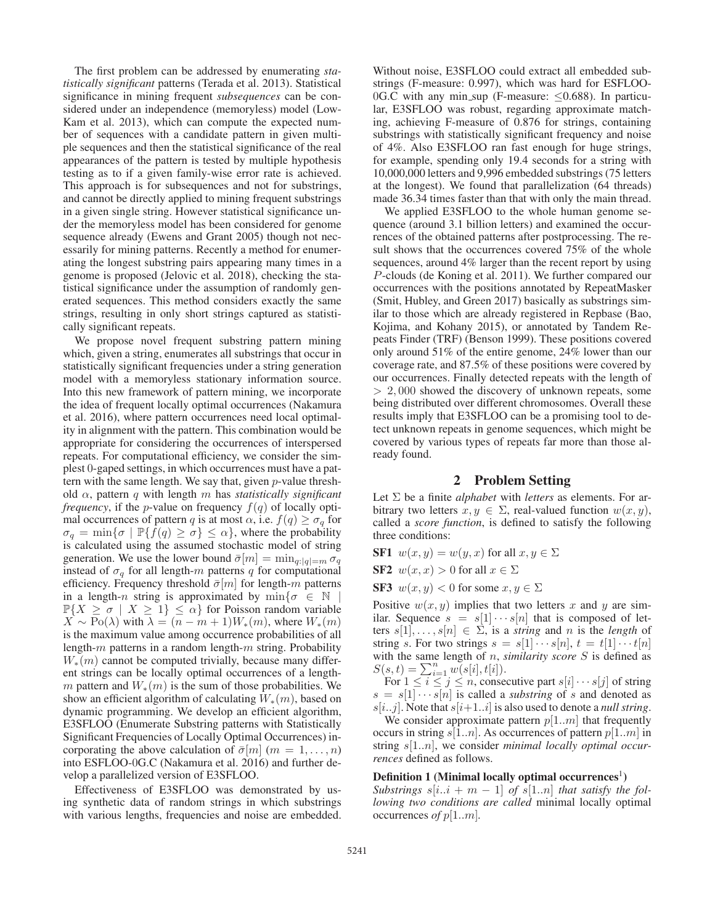The first problem can be addressed by enumerating *statistically significant* patterns (Terada et al. 2013). Statistical significance in mining frequent *subsequences* can be considered under an independence (memoryless) model (Low-Kam et al. 2013), which can compute the expected number of sequences with a candidate pattern in given multiple sequences and then the statistical significance of the real appearances of the pattern is tested by multiple hypothesis testing as to if a given family-wise error rate is achieved. This approach is for subsequences and not for substrings, and cannot be directly applied to mining frequent substrings in a given single string. However statistical significance under the memoryless model has been considered for genome sequence already (Ewens and Grant 2005) though not necessarily for mining patterns. Recently a method for enumerating the longest substring pairs appearing many times in a genome is proposed (Jelovic et al. 2018), checking the statistical significance under the assumption of randomly generated sequences. This method considers exactly the same strings, resulting in only short strings captured as statistically significant repeats.

We propose novel frequent substring pattern mining which, given a string, enumerates all substrings that occur in statistically significant frequencies under a string generation model with a memoryless stationary information source. Into this new framework of pattern mining, we incorporate the idea of frequent locally optimal occurrences (Nakamura et al. 2016), where pattern occurrences need local optimality in alignment with the pattern. This combination would be appropriate for considering the occurrences of interspersed repeats. For computational efficiency, we consider the simplest 0-gaped settings, in which occurrences must have a pattern with the same length. We say that, given  $p$ -value threshold α, pattern q with length m has *statistically significant frequency*, if the *p*-value on frequency  $f(q)$  of locally optimal occurrences of pattern q is at most  $\alpha$ , i.e.  $f(q) \geq \sigma_q$  for  $\sigma_q = \min\{\sigma \mid \mathbb{P}\{f(q) \geq \sigma\} \leq \alpha\}$ , where the probability is calculated using the assumed stochastic model of string generation. We use the lower bound  $\bar{\sigma}[m] = \min_{q:|q|=m} \sigma_q$ instead of  $\sigma_q$  for all length-m patterns q for computational efficiency. Frequency threshold  $\bar{\sigma}[m]$  for length-m patterns in a length-n string is approximated by  $\min\{\sigma \in \mathbb{N} \mid \sigma\}$  $\mathbb{P}\{X \geq \sigma \mid X \geq 1\} \leq \alpha\}$  for Poisson random variable  $\overrightarrow{X} \sim \text{Po}(\lambda)$  with  $\lambda = (n - m + 1)W_*(m)$ , where  $W_*(m)$ is the maximum value among occurrence probabilities of all length-m patterns in a random length-m string. Probability  $W_*(m)$  cannot be computed trivially, because many different strings can be locally optimal occurrences of a lengthm pattern and  $W_*(m)$  is the sum of those probabilities. We show an efficient algorithm of calculating  $W_*(m)$ , based on dynamic programming. We develop an efficient algorithm, E3SFLOO (Enumerate Substring patterns with Statistically Significant Frequencies of Locally Optimal Occurrences) incorporating the above calculation of  $\bar{\sigma}[m]$  ( $m = 1, \ldots, n$ ) into ESFLOO-0G.C (Nakamura et al. 2016) and further develop a parallelized version of E3SFLOO.

Effectiveness of E3SFLOO was demonstrated by using synthetic data of random strings in which substrings with various lengths, frequencies and noise are embedded.

Without noise, E3SFLOO could extract all embedded substrings (F-measure: 0.997), which was hard for ESFLOO-0G.C with any min\_sup (F-measure:  $\leq$ 0.688). In particular, E3SFLOO was robust, regarding approximate matching, achieving F-measure of 0.876 for strings, containing substrings with statistically significant frequency and noise of 4%. Also E3SFLOO ran fast enough for huge strings, for example, spending only 19.4 seconds for a string with 10,000,000 letters and 9,996 embedded substrings (75 letters at the longest). We found that parallelization (64 threads) made 36.34 times faster than that with only the main thread.

We applied E3SFLOO to the whole human genome sequence (around 3.1 billion letters) and examined the occurrences of the obtained patterns after postprocessing. The result shows that the occurrences covered 75% of the whole sequences, around 4% larger than the recent report by using P-clouds (de Koning et al. 2011). We further compared our occurrences with the positions annotated by RepeatMasker (Smit, Hubley, and Green 2017) basically as substrings similar to those which are already registered in Repbase (Bao, Kojima, and Kohany 2015), or annotated by Tandem Repeats Finder (TRF) (Benson 1999). These positions covered only around 51% of the entire genome, 24% lower than our coverage rate, and 87.5% of these positions were covered by our occurrences. Finally detected repeats with the length of <sup>&</sup>gt; 2, 000 showed the discovery of unknown repeats, some being distributed over different chromosomes. Overall these results imply that E3SFLOO can be a promising tool to detect unknown repeats in genome sequences, which might be covered by various types of repeats far more than those already found.

### 2 Problem Setting

Let Σ be a finite *alphabet* with *letters* as elements. For arbitrary two letters  $x, y \in \Sigma$ , real-valued function  $w(x, y)$ , called a *score function*, is defined to satisfy the following three conditions:

**SF1** 
$$
w(x, y) = w(y, x)
$$
 for all  $x, y \in \Sigma$ 

SF2  $w(x, x) > 0$  for all  $x \in \Sigma$ 

SF3  $w(x, y) < 0$  for some  $x, y \in \Sigma$ 

Positive  $w(x, y)$  implies that two letters x and y are similar. Sequence  $s = s[1] \cdots s[n]$  that is composed of letters  $s[1], \ldots, s[n] \in \Sigma$ , is a *string* and *n* is the *length* of string s. For two strings  $s = s[1] \cdots s[n], t = t[1] \cdots t[n]$ with the same length of n, *similarity score* S is defined as  $S(s,t) = \sum_{i=1}^{n} w(s[i], t[i]).$ <br>For  $1 \le i \le i \le n$  conse

For  $1 \le i \le j \le n$ , consecutive part  $s[i] \cdots s[j]$  of string<br>=  $s[1] \cdots s[n]$  is called a *substring* of s and denoted as  $s = s[1] \cdots s[n]$  is called a *substring* of s and denoted as  $s[i..j]$ . Note that  $s[i+1..i]$  is also used to denote a *null string*.

We consider approximate pattern  $p[1..m]$  that frequently occurs in string  $s[1..n]$ . As occurrences of pattern  $p[1..m]$  in string <sup>s</sup>[1..n], we consider *minimal locally optimal occurrences* defined as follows.

#### Definition 1 (Minimal locally optimal occurrences<sup>1</sup>)

*Substrings*  $s[i..i + m - 1]$  *of*  $s[1..n]$  *that satisfy the following two conditions are called* minimal locally optimal occurrences *of* <sup>p</sup>[1..m]*.*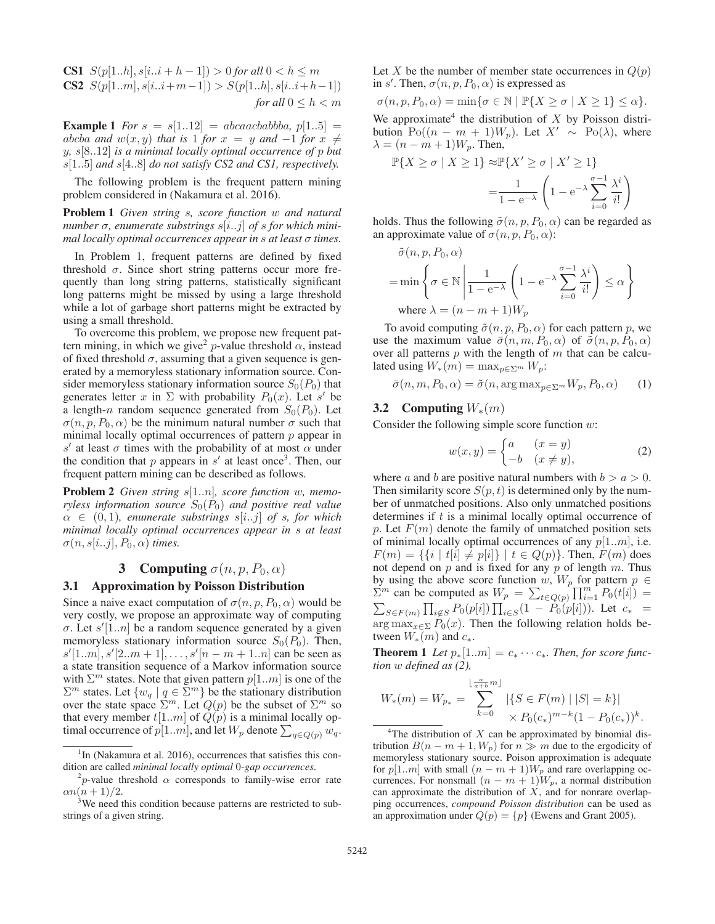**CS1**  $S(p[1..h], s[i..i+h-1]) > 0$  for all  $0 < h \leq m$ CS2  $S(p[1..m], s[i..i+m-1]) > S(p[1..h], s[i..i+h-1])$ *for all*  $0 \leq h < m$ 

**Example 1** *For*  $s = s[1..12] = abcaacbabba, p[1..5] =$ abcba and  $w(x, y)$  that is 1 for  $x = y$  and  $-1$  for  $x \neq$ <sup>y</sup>*,* <sup>s</sup>[8..12] *is a minimal locally optimal occurrence of* <sup>p</sup> *but* <sup>s</sup>[1..5] *and* <sup>s</sup>[4..8] *do not satisfy CS2 and CS1, respectively.*

The following problem is the frequent pattern mining problem considered in (Nakamura et al. 2016).

Problem 1 *Given string* s*, score function* w *and natural number*  $\sigma$ *, enumerate substrings s*[*i..j*] *of s for which minimal locally optimal occurrences appear in* s *at least* σ *times.*

In Problem 1, frequent patterns are defined by fixed threshold  $\sigma$ . Since short string patterns occur more frequently than long string patterns, statistically significant long patterns might be missed by using a large threshold while a lot of garbage short patterns might be extracted by using a small threshold.

To overcome this problem, we propose new frequent pattern mining, in which we give<sup>2</sup> p-value threshold  $\alpha$ , instead of fixed threshold  $\sigma$ , assuming that a given sequence is generated by a memoryless stationary information source. Consider memoryless stationary information source  $S_0(P_0)$  that generates letter x in  $\Sigma$  with probability  $P_0(x)$ . Let s' be a length-n random sequence generated from  $S_0(P_0)$ . Let  $\sigma(n, p, P_0, \alpha)$  be the minimum natural number  $\sigma$  such that minimal locally optimal occurrences of pattern  $p$  appear in s' at least  $\sigma$  times with the probability of at most  $\alpha$  under the condition that  $p$  appears in  $s'$  at least once<sup>3</sup>. Then, our frequent pattern mining can be described as follows.

Problem 2 *Given string* <sup>s</sup>[1..n]*, score function* <sup>w</sup>*, memoryless information source*  $S_0(P_0)$  *and positive real value*  $\alpha \in (0, 1)$ *, enumerate substrings s[i..j] of s, for which minimal locally optimal occurrences appear in* s *at least*  $\sigma(n, s[i..j], P_0, \alpha)$  *times.* 

## **3** Computing  $\sigma(n, p, P_0, \alpha)$

#### 3.1 Approximation by Poisson Distribution

Since a naive exact computation of  $\sigma(n, p, P_0, \alpha)$  would be very costly, we propose an approximate way of computing σ. Let  $s'[1..n]$  be a random sequence generated by a given<br>memoryless stationary information source  $S_0(P_0)$ . Then memoryless stationary information source  $S_0(P_0)$ . Then,  $s'[1..m], s'[2..m+1], \ldots, s'[n-m+1..n]$  can be seen as<br>a state transition sequence of a Markov information source a state transition sequence of a Markov information source with  $\Sigma^m$  states. Note that given pattern  $p[1..m]$  is one of the  $\Sigma^m$  states. Let  $\{w_q \mid q \in \Sigma^m\}$  be the stationary distribution over the state space  $\Sigma^m$ . Let  $Q(p)$  be the subset of  $\Sigma^m$  so that every member  $t[1..m]$  of  $Q(p)$  is a minimal locally optimal occurrence of  $p[1..m]$ , and let  $W_p$  denote  $\sum_{q \in Q(p)} w_q$ .

Let X be the number of member state occurrences in  $Q(p)$ in s'. Then,  $\sigma(n, p, P_0, \alpha)$  is expressed as

 $\sigma(n, p, P_0, \alpha) = \min\{\sigma \in \mathbb{N} \mid \mathbb{P}\{X \geq \sigma \mid X \geq 1\} \leq \alpha\}.$ We approximate<sup>4</sup> the distribution of  $X$  by Poisson distribution  $Po((n - m + 1)W_p)$ . Let  $X' \sim Po(\lambda)$ , where  $\lambda = (n - m + 1)W_p$ . Then,

$$
\mathbb{P}\{X \ge \sigma \mid X \ge 1\} \approx \mathbb{P}\{X' \ge \sigma \mid X' \ge 1\}
$$

$$
= \frac{1}{1 - e^{-\lambda}} \left(1 - e^{-\lambda} \sum_{i=0}^{\sigma-1} \frac{\lambda^i}{i!}\right)
$$

holds. Thus the following  $\tilde{\sigma}(n, p, P_0, \alpha)$  can be regarded as an approximate value of  $\sigma(n, p, P_0, \alpha)$ :

$$
\tilde{\sigma}(n, p, P_0, \alpha)
$$
\n
$$
= \min \left\{ \sigma \in \mathbb{N} \, \middle| \, \frac{1}{1 - e^{-\lambda}} \left( 1 - e^{-\lambda} \sum_{i=0}^{\sigma - 1} \frac{\lambda^i}{i!} \right) \le \alpha \right\}
$$
\nwhere  $\lambda = (n - m + 1)W_p$ 

To avoid computing  $\tilde{\sigma}(n, p, P_0, \alpha)$  for each pattern p, we<br>e the maximum value  $\bar{\sigma}(n, m, P_0, \alpha)$  of  $\tilde{\sigma}(n, n, P_0, \alpha)$ use the maximum value  $\bar{\sigma}(n, m, P_0, \alpha)$  of  $\tilde{\sigma}(n, p, P_0, \alpha)$ over all patterns  $p$  with the length of  $m$  that can be calculated using  $W_*(m) = \max_{p \in \Sigma^m} W_p$ :

$$
\bar{\sigma}(n, m, P_0, \alpha) = \tilde{\sigma}(n, \arg \max_{p \in \Sigma^m} W_p, P_0, \alpha)
$$
 (1)

### 3.2 Computing  $W_*(m)$

Consider the following simple score function  $w$ :

$$
w(x,y) = \begin{cases} a & (x=y) \\ -b & (x \neq y) \end{cases} \tag{2}
$$

where a and b are positive natural numbers with  $b > a > 0$ . Then similarity score  $S(p, t)$  is determined only by the number of unmatched positions. Also only unmatched positions determines if t is a minimal locally optimal occurrence of p. Let  $F(m)$  denote the family of unmatched position sets of minimal locally optimal occurrences of any  $p[1..m]$ , i.e.  $F(m) = \{ \{i \mid t[i] \neq p[i] \} \mid t \in Q(p) \}.$  Then,  $F(m)$  does not depend on  $p$  and is fixed for any  $p$  of length  $m$ . Thus by using the above score function w,  $W_p$  for pattern  $p \in$  $\sum_{i=1}^{m}$  can be computed as  $W_p = \sum_{t \in Q(p)} \prod_{i=1}^{m} P_0(t[i]) =$  $\sum_{S \in F(m)} \prod_{i \notin S} P_0(p[i]) \prod_{i \in S} (1 - P_0(p[i])$ . Let  $c_* =$  $\arg \max_{x \in \Sigma} P_0(x)$ . Then the following relation holds between  $W_*(m)$  and  $c_*$ .

**Theorem 1** Let  $p_*[1..m] = c_* \cdots c_*$ . Then, for score func*tion* w *defined as (2),*

$$
W_*(m) = W_{p_*} = \sum_{k=0}^{\lfloor \frac{a}{a+b}m \rfloor} |\{ S \in F(m) \mid |S| = k \}|
$$
  

$$
\times P_0(c_*)^{m-k} (1 - P_0(c_*))^k.
$$
  
<sup>4</sup>The distribution of *X* can be approximated by binomial dis-

tribution  $B(n - m + 1, W_p)$  for  $n \gg m$  due to the ergodicity of memoryless stationary source. Poison approximation is adequate for p[1..m] with small  $(n - m + 1)W_p$  and rare overlapping occurrences. For nonsmall  $(n - m + 1)W_p$ , a normal distribution can approximate the distribution of  $X$ , and for nonrare overlapping occurrences, *compound Poisson distribution* can be used as an approximation under  $Q(p) = \{p\}$  (Ewens and Grant 2005).

<sup>&</sup>lt;sup>1</sup>In (Nakamura et al. 2016), occurrences that satisfies this condition are called *minimal locally optimal* 0*-gap occurrences*.

<sup>&</sup>lt;sup>2</sup>p-value threshold  $\alpha$  corresponds to family-wise error rate  $\alpha n(n+1)/2.$ 

<sup>&</sup>lt;sup>3</sup>We need this condition because patterns are restricted to substrings of a given string.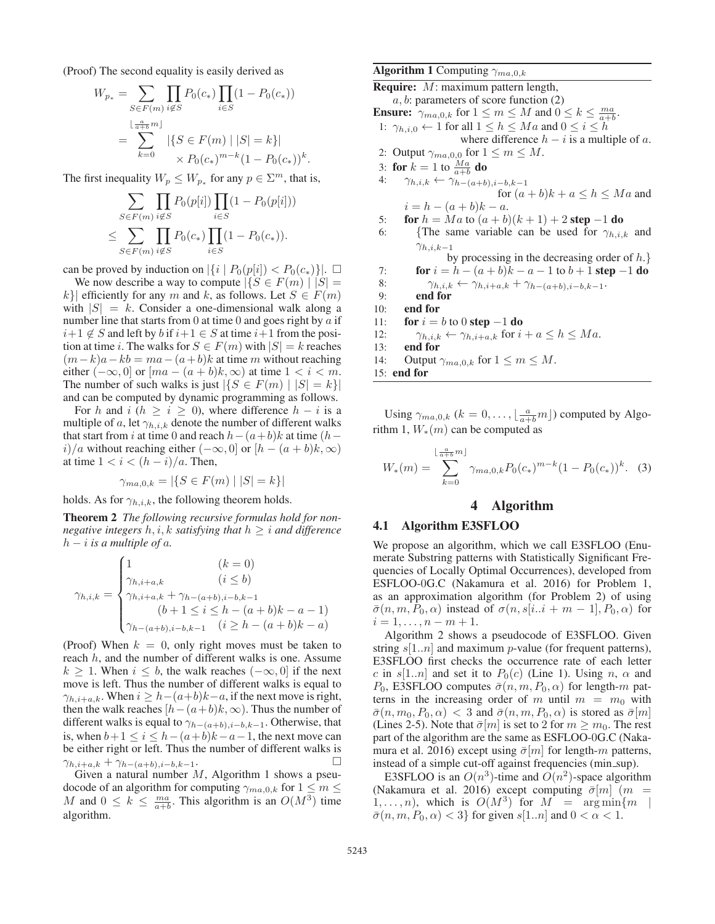(Proof) The second equality is easily derived as

$$
W_{p*} = \sum_{S \in F(m)} \prod_{i \notin S} P_0(c_*) \prod_{i \in S} (1 - P_0(c_*))
$$
  
= 
$$
\sum_{k=0}^{\lfloor \frac{a}{a+b}m \rfloor} |\{S \in F(m) \mid |S| = k\}|
$$
  

$$
\times P_0(c_*)^{m-k} (1 - P_0(c_*))^k.
$$

The first inequality  $W_p \leq W_{p^*}$  for any  $p \in \Sigma^m$ , that is,

$$
\sum_{S \in F(m)} \prod_{i \notin S} P_0(p[i]) \prod_{i \in S} (1 - P_0(p[i]))
$$
  

$$
\leq \sum_{S \in F(m)} \prod_{i \notin S} P_0(c_*) \prod_{i \in S} (1 - P_0(c_*)).
$$

can be proved by induction on  $|\{i \mid P_0(p[i]) < P_0(c_*)\}|$ .  $\square$ <br>We now describe a way to compute  $|\{S \in F(m) \mid |S| =$ 

We now describe a way to compute  $|\{S \in F(m) \mid |S| =$ k}| efficiently for any m and k, as follows. Let  $S \in F(m)$ with  $|S| = k$ . Consider a one-dimensional walk along a number line that starts from 0 at time 0 and goes right by  $\alpha$  if  $i+1 \notin S$  and left by b if  $i+1 \in S$  at time  $i+1$  from the position at time *i*. The walks for  $S \in F(m)$  with  $|S| = k$  reaches  $(m-k)a - kb = ma - (a+b)k$  at time m without reaching either  $(-\infty, 0]$  or  $[ma - (a + b)k, \infty)$  at time  $1 < i < m$ . The number of such walks is just  $|\{S \in F(m) \mid |S| = k\}|$ and can be computed by dynamic programming as follows.

For h and i ( $h \ge i \ge 0$ ), where difference  $h - i$  is a multiple of a, let  $\gamma_{h,i,k}$  denote the number of different walks that start from i at time 0 and reach  $h-(a+b)k$  at time (h – i)/a without reaching either  $(-\infty, 0]$  or  $[h - (a + b)k, \infty)$ at time  $1 < i < (h - i)/a$ . Then,

$$
\gamma_{ma,0,k} = |\{ S \in F(m) \mid |S| = k \}|
$$

holds. As for  $\gamma_{h,i,k}$ , the following theorem holds.

Theorem 2 *The following recursive formulas hold for nonnegative integers*  $h, i, k$  *satisfying that*  $h \geq i$  *and difference*  $h - i$  *is a multiple of a.* 

$$
\gamma_{h,i,k} = \begin{cases}\n1 & (k = 0) \\
\gamma_{h,i+a,k} & (i \le b) \\
\gamma_{h,i+a,k} + \gamma_{h-(a+b),i-b,k-1} & (b+1 \le i \le h - (a+b)k - a - 1) \\
\gamma_{h-(a+b),i-b,k-1} & (i \ge h - (a+b)k - a)\n\end{cases}
$$

(Proof) When  $k = 0$ , only right moves must be taken to reach  $h$ , and the number of different walks is one. Assume  $k > 1$ . When  $i \leq b$ , the walk reaches  $(-\infty, 0]$  if the next move is left. Thus the number of different walks is equal to  $\gamma_{h,i+a,k}$ . When  $i \geq h - (a+b)k - a$ , if the next move is right, then the walk reaches  $[h-(a+b)k,\infty)$ . Thus the number of different walks is equal to  $\gamma_{h-(a+b),i-b,k-1}$ . Otherwise, that is, when  $b+1 \le i \le h-(a+b)k-a-1$ , the next move can be either right or left. Thus the number of different walks is  $\gamma_{h,i+a,k} + \gamma_{h-(a+b),i-b,k-1}$ .  $\Box$ <br>Given a natural number M, Algorithm 1 shows a pseu-

docode of an algorithm for computing  $\gamma_{ma,0,k}$  for  $1 \leq m \leq$ M and  $0 \le k \le \frac{ma}{a+b}$ . This algorithm is an  $O(M^3)$  time algorithm.

# **Algorithm 1** Computing  $\gamma_{ma,0,k}$

Require: M: maximum pattern length,  $a, b$ : parameters of score function  $(2)$ **Ensure:**  $\gamma_{ma,0,k}$  for  $1 \le m \le M$  and  $0 \le k \le \frac{ma}{a+b}$ .<br>  $\frac{1}{2}$  :  $\alpha_{k+1} \le k \le M$  and  $0 \le i \le k$ . 1:  $\gamma_{h,i,0} \leftarrow 1$  for all  $1 \leq h \leq Ma$  and  $0 \leq i \leq h$ where difference  $h - i$  is a multiple of a. 2: Output  $\gamma_{ma,0,0}$  for  $1 \leq m \leq M$ . 3: for  $k = 1$  to  $\frac{Ma}{a+b}$  do 4:  $\gamma_{k,i,k} \leftarrow \gamma_{k,i,k}$ 4:  $\gamma_{h,i,k} \leftarrow \gamma_{h-(a+b),i-b,k-1}$ for  $(a + b)k + a \leq h \leq Ma$  and  $i = h - (a + b)k - a.$ 5: **for**  $h = Ma$  to  $(a + b)(k + 1) + 2$  **step** -1 **do**<br>6: {The same variable can be used for  $\gamma_{h,i}$ . {The same variable can be used for  $\gamma_{h,i,k}$  and  $\gamma_{h,i,k-1}$ by processing in the decreasing order of  $h.$ } 7: **for**  $i = h - (a + b)k - a - 1$  to  $b + 1$  **step**  $-1$  **do**<br>8:  $\gamma_{h,i,k} \leftarrow \gamma_{h,i+a,k} + \gamma_{h-(a+b),i-h,k-1}$ . 8:  $\gamma_{h,i,k} \leftarrow \gamma_{h,i+a,k} + \gamma_{h-(a+b),i-b,k-1}.$ <br>9: **end for** end for 10: end for 11: **for**  $i = b$  to 0 **step** -1 **do**<br>12:  $\gamma_{h,i,k} \leftarrow \gamma_{h,i+a,k}$  for i 12:  $\gamma_{h,i,k} \leftarrow \gamma_{h,i+a,k}$  for  $i + a \leq h \leq Ma$ .<br>13: **end for** end for 14: Output  $\gamma_{ma,0,k}$  for  $1 \leq m \leq M$ . 15: end for

Using  $\gamma_{ma,0,k}$   $(k = 0, \ldots, \lfloor \frac{a}{a+b}m \rfloor)$  computed by Algorithm 1,  $W_*(m)$  can be computed as

$$
W_*(m) = \sum_{k=0}^{\lfloor \frac{a}{a+b}m \rfloor} \gamma_{ma,0,k} P_0(c_*)^{m-k} (1 - P_0(c_*))^k.
$$
 (3)

### 4 Algorithm

#### 4.1 Algorithm E3SFLOO

We propose an algorithm, which we call E3SFLOO (Enumerate Substring patterns with Statistically Significant Frequencies of Locally Optimal Occurrences), developed from ESFLOO-0G.C (Nakamura et al. 2016) for Problem 1, as an approximation algorithm (for Problem 2) of using  $\bar{\sigma}(n, m, P_0, \alpha)$  instead of  $\sigma(n, s[i..i + m - 1], P_0, \alpha)$  for  $i = 1, \ldots, n - m + 1.$ 

Algorithm 2 shows a pseudocode of E3SFLOO. Given string  $s[1..n]$  and maximum p-value (for frequent patterns), E3SFLOO first checks the occurrence rate of each letter c in s[1..n] and set it to  $P_0(c)$  (Line 1). Using n,  $\alpha$  and  $P_0$ , E3SFLOO computes  $\bar{\sigma}(n, m, P_0, \alpha)$  for length-m patterns in the increasing order of m until  $m = m_0$  with  $\bar{\sigma}(n, m_0, P_0, \alpha) < 3$  and  $\bar{\sigma}(n, m, P_0, \alpha)$  is stored as  $\bar{\sigma}[m]$ (Lines 2-5). Note that  $\bar{\sigma}[m]$  is set to 2 for  $m \geq m_0$ . The rest part of the algorithm are the same as ESFLOO-0G.C (Nakamura et al. 2016) except using  $\bar{\sigma}[m]$  for length-m patterns, instead of a simple cut-off against frequencies (min\_sup).

E3SFLOO is an  $O(n^3)$ -time and  $O(n^2)$ -space algorithm (Nakamura et al. 2016) except computing  $\bar{\sigma}[m]$  (m =  $1,\ldots,n$ , which is  $O(M^3)$  for  $M = \arg \min\{m \mid m\}$  $\bar{\sigma}(n, m, P_0, \alpha) < 3$  for given  $s[1..n]$  and  $0 < \alpha < 1$ .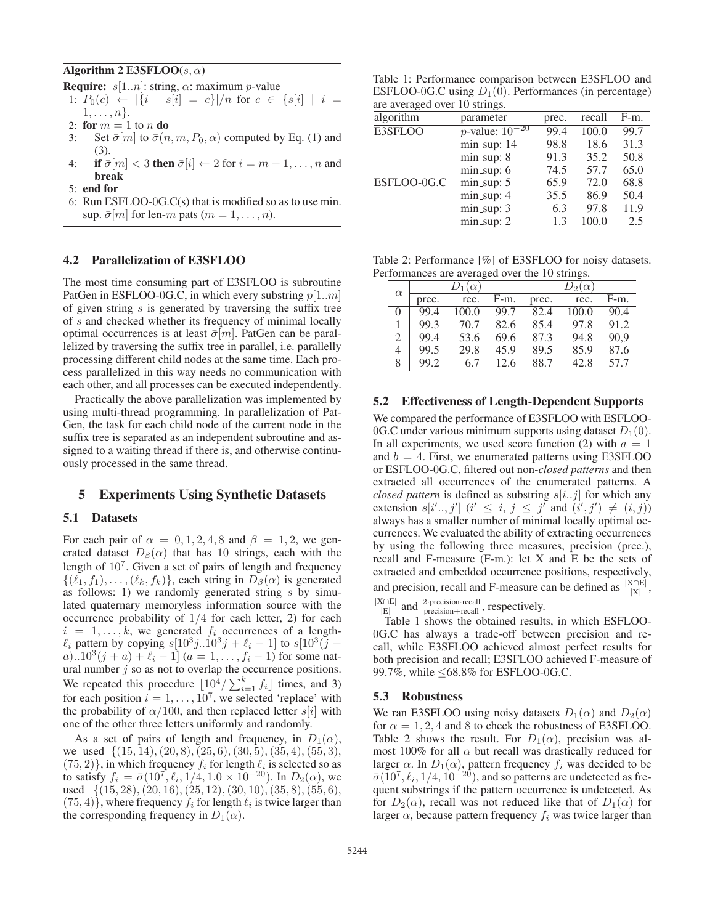#### Algorithm 2 E3SFLOO( $s, \alpha$ )

**Require:**  $s[1..n]$ : string,  $\alpha$ : maximum *p*-value

1:  $P_0(c) \leftarrow |\{i \mid s[i] = c\}|/n$  for  $c \in \{s[i] \mid i =$  $1,\ldots,n$ .

- 2: for  $m = 1$  to n do<br>3: Set  $\bar{\sigma}[m]$  to  $\bar{\sigma}(n)$
- Set  $\bar{\sigma}[m]$  to  $\bar{\sigma}(n, m, P_0, \alpha)$  computed by Eq. (1) and (3).
- 4: if  $\bar{\sigma}[m] < 3$  then  $\bar{\sigma}[i] \leftarrow 2$  for  $i = m + 1, \ldots, n$  and break
- 5: end for
- 6: Run ESFLOO-0G.C(s) that is modified so as to use min. sup.  $\bar{\sigma}[m]$  for len-m pats  $(m = 1, \ldots, n)$ .

#### 4.2 Parallelization of E3SFLOO

The most time consuming part of E3SFLOO is subroutine PatGen in ESFLOO-0G.C, in which every substring  $p[1..m]$ of given string  $s$  is generated by traversing the suffix tree of s and checked whether its frequency of minimal locally optimal occurrences is at least  $\bar{\sigma}[m]$ . PatGen can be parallelized by traversing the suffix tree in parallel, i.e. parallelly processing different child nodes at the same time. Each process parallelized in this way needs no communication with each other, and all processes can be executed independently.

Practically the above parallelization was implemented by using multi-thread programming. In parallelization of Pat-Gen, the task for each child node of the current node in the suffix tree is separated as an independent subroutine and assigned to a waiting thread if there is, and otherwise continuously processed in the same thread.

### 5 Experiments Using Synthetic Datasets

### 5.1 Datasets

For each pair of  $\alpha = 0, 1, 2, 4, 8$  and  $\beta = 1, 2$ , we generated dataset  $D_\beta(\alpha)$  that has 10 strings, each with the length of  $10<sup>7</sup>$ . Given a set of pairs of length and frequency  $\{(\ell_1, f_1), \ldots, (\ell_k, f_k)\}\$ , each string in  $D_\beta(\alpha)$  is generated as follows: 1) we randomly generated string  $s$  by simulated quaternary memoryless information source with the occurrence probability of  $1/4$  for each letter, 2) for each  $i = 1, \ldots, k$ , we generated  $f_i$  occurrences of a length- $\ell_i$  pattern by copying  $s[10^3j..10^3j + \ell_i - 1]$  to  $s[10^3(j +$ a)..10<sup>3</sup> $(j + a) + \ell_i - 1$   $(a = 1, ..., f_i - 1)$  for some natural number  $j$  so as not to overlap the occurrence positions. We repeated this procedure  $\left[10^4/\sum_{i=1}^k f_i\right]$  times, and 3)<br>for each position  $i=1$  and  $\frac{10^7}{N}$  we selected 'replace' with for each position  $i = 1, \ldots, 10^7$ , we selected 'replace' with the probability of  $\alpha/100$ , and then replaced letter s[i] with one of the other three letters uniformly and randomly.

As a set of pairs of length and frequency, in  $D_1(\alpha)$ , we used  $\{(15, 14), (20, 8), (25, 6), (30, 5), (35, 4), (55, 3),\}$  $(75, 2)$ , in which frequency  $f_i$  for length  $\ell_i$  is selected so as to satisfy  $f_i = \bar{\sigma}(10^7, \ell_i, 1/4, 1.0 \times 10^{-20})$ . In  $D_2(\alpha)$ , we used  $\{(15, 28), (20, 16), (25, 12), (30, 10), (35, 8), (55, 6),\}$  $(75, 4)$ , where frequency  $f_i$  for length  $\ell_i$  is twice larger than the corresponding frequency in  $D_1(\alpha)$ .

Table 1: Performance comparison between E3SFLOO and ESFLOO-0G.C using  $D_1(0)$ . Performances (in percentage) are averaged over 10 strings.

| algorithm   | parameter                   | prec. | recall | F-m. |
|-------------|-----------------------------|-------|--------|------|
| E3SFLOO     | <i>p</i> -value: $10^{-20}$ | 99.4  | 100.0  | 99.7 |
|             | $min_sup: 14$               | 98.8  | 18.6   | 31.3 |
| ESFLOO-0G.C | $min\_sup: 8$               | 91.3  | 35.2   | 50.8 |
|             | $min\_sup: 6$               | 74.5  | 57.7   | 65.0 |
|             | $min\_sup: 5$               | 65.9  | 72.0   | 68.8 |
|             | $min\_sup: 4$               | 35.5  | 86.9   | 50.4 |
|             | $min_sup: 3$                | 6.3   | 97.8   | 11.9 |
|             | $min\_sup: 2$               | 1.3   | 100.0  | 2.5  |

Table 2: Performance [%] of E3SFLOO for noisy datasets. Performances are averaged over the 10 strings.

|          |       | $D_1(\alpha)$ |      |       | $D_2(\alpha)$ |        |
|----------|-------|---------------|------|-------|---------------|--------|
| $\alpha$ | prec. | rec.          | F-m. | prec. | rec.          | $F-m.$ |
| $\Omega$ | 99.4  | 100.0         | 99.7 | 82.4  | 100.0         | 90.4   |
|          | 99.3  | 70.7          | 82.6 | 85.4  | 97.8          | 91.2   |
| 2        | 99.4  | 53.6          | 69.6 | 87.3  | 94.8          | 90.9   |
| 4        | 99.5  | 29.8          | 45.9 | 89.5  | 85.9          | 87.6   |
| 8        | 99.2  | 6.7           | 12.6 | 88.7  | 42.8          | 57.7   |

#### 5.2 Effectiveness of Length-Dependent Supports

We compared the performance of E3SFLOO with ESFLOO-0G.C under various minimum supports using dataset  $D_1(0)$ . In all experiments, we used score function (2) with  $a = 1$ and  $b = 4$ . First, we enumerated patterns using E3SFLOO or ESFLOO-0G.C, filtered out non-*closed patterns* and then extracted all occurrences of the enumerated patterns. A *closed pattern* is defined as substring  $s[i..j]$  for which any extension  $s[i', j']$   $(i' \leq i, j \leq j'$  and  $(i', j') \neq (i, j)$ <br>always has a smaller number of minimal locally ontimal ocalways has a smaller number of minimal locally optimal occurrences. We evaluated the ability of extracting occurrences by using the following three measures, precision (prec.), recall and F-measure (F-m.): let X and E be the sets of extracted and embedded occurrence positions, respectively, and precision, recall and F-measure can be defined as  $\frac{|X \cap E|}{|X|}$ ,

 $\frac{|X \cap E|}{|E|}$  and  $\frac{2 \cdot \text{precision} \cdot \text{recall}}{\text{precision} + \text{recall}}$ , respectively.

 $\frac{|\mathbf{E}|}{|\mathbf{E}|}$  and precision+recall  $\frac{1}{2}$  results, in which ESFLOO-0G.C has always a trade-off between precision and recall, while E3SFLOO achieved almost perfect results for both precision and recall; E3SFLOO achieved F-measure of 99.7%, while ≤68.8% for ESFLOO-0G.C.

#### 5.3 Robustness

We ran E3SFLOO using noisy datasets  $D_1(\alpha)$  and  $D_2(\alpha)$ for  $\alpha = 1, 2, 4$  and 8 to check the robustness of E3SFLOO. Table 2 shows the result. For  $D_1(\alpha)$ , precision was almost 100% for all  $\alpha$  but recall was drastically reduced for larger  $\alpha$ . In  $D_1(\alpha)$ , pattern frequency  $f_i$  was decided to be  $\overline{\sigma}(10^7 \ell, 1/4, 10^{-20})$  and so patterns are undetected as fre- $\bar{\sigma}(10^7, \ell_i, 1/4, 10^{-20})$ , and so patterns are undetected as fre-<br>quent substrings if the pattern occurrence is undetected. As quent substrings if the pattern occurrence is undetected. As for  $D_2(\alpha)$ , recall was not reduced like that of  $D_1(\alpha)$  for larger  $\alpha$ , because pattern frequency  $f_i$  was twice larger than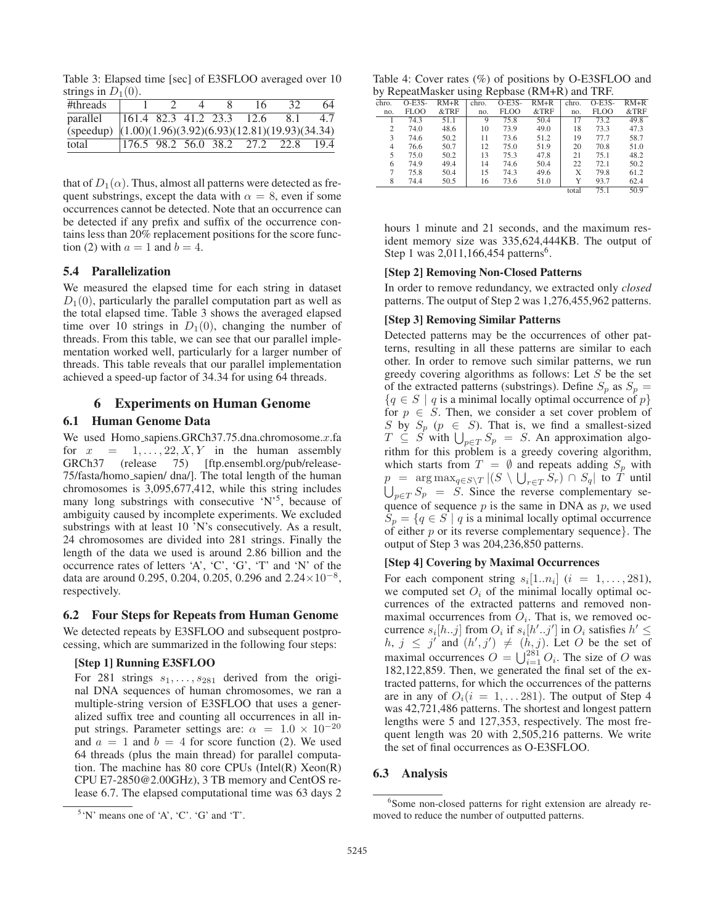Table 3: Elapsed time [sec] of E3SFLOO averaged over 10 strings in  $D_1(0)$ .

| #threads                                                  |  |  | 16                                   |     | 64   |
|-----------------------------------------------------------|--|--|--------------------------------------|-----|------|
| parallel                                                  |  |  | $ 161.4 \t82.3 \t41.2 \t23.3 \t12.6$ | -81 | 4.7  |
| (speedup) $(1.00)(1.96)(3.92)(6.93)(12.81)(19.93)(34.34)$ |  |  |                                      |     |      |
| total                                                     |  |  | 176.5 98.2 56.0 38.2 27.2 22.8       |     | 19.4 |

that of  $D_1(\alpha)$ . Thus, almost all patterns were detected as frequent substrings, except the data with  $\alpha = 8$ , even if some occurrences cannot be detected. Note that an occurrence can be detected if any prefix and suffix of the occurrence contains less than 20% replacement positions for the score function (2) with  $a = 1$  and  $b = 4$ .

### 5.4 Parallelization

We measured the elapsed time for each string in dataset  $D_1(0)$ , particularly the parallel computation part as well as the total elapsed time. Table 3 shows the averaged elapsed time over 10 strings in  $D_1(0)$ , changing the number of threads. From this table, we can see that our parallel implementation worked well, particularly for a larger number of threads. This table reveals that our parallel implementation achieved a speed-up factor of 34.34 for using 64 threads.

### 6 Experiments on Human Genome

### 6.1 Human Genome Data

We used Homo\_sapiens.GRCh37.75.dna.chromosome. $x$ .fa for  $x = 1, \ldots, 22, X, Y$  in the human assembly GRCh37 (release 75) [ftp.ensembl.org/pub/release-75/fasta/homo sapien/ dna/]. The total length of the human chromosomes is 3,095,677,412, while this string includes many long substrings with consecutive 'N'<sup>5</sup>, because of ambiguity caused by incomplete experiments. We excluded substrings with at least 10 'N's consecutively. As a result, 24 chromosomes are divided into 281 strings. Finally the length of the data we used is around 2.86 billion and the occurrence rates of letters 'A', 'C', 'G', 'T' and 'N' of the data are around 0.295, 0.204, 0.205, 0.296 and  $2.24 \times 10^{-8}$ , respectively.

### 6.2 Four Steps for Repeats from Human Genome

We detected repeats by E3SFLOO and subsequent postprocessing, which are summarized in the following four steps:

# [Step 1] Running E3SFLOO

For 281 strings  $s_1, \ldots, s_{281}$  derived from the original DNA sequences of human chromosomes, we ran a multiple-string version of E3SFLOO that uses a generalized suffix tree and counting all occurrences in all input strings. Parameter settings are:  $\alpha = 1.0 \times 10^{-20}$ and  $a = 1$  and  $b = 4$  for score function (2). We used 64 threads (plus the main thread) for parallel computation. The machine has 80 core CPUs (Intel(R) Xeon(R) CPU E7-2850@2.00GHz), 3 TB memory and CentOS release 6.7. The elapsed computational time was 63 days 2

| Table 4: Cover rates (%) of positions by O-E3SFLOO and |  |
|--------------------------------------------------------|--|
| by RepeatMasker using Repbase (RM+R) and TRF.          |  |

|                |          |        | ັ     |             |        |       |             |         |
|----------------|----------|--------|-------|-------------|--------|-------|-------------|---------|
| chro.          | $O-E3S-$ | $RM+R$ | chro. | $O-E3S-$    | $RM+R$ | chro. | $O-E3S-$    | $RM+R$  |
| no.            | FLOO     | &TRF   | no.   | <b>FLOO</b> | &TRF   | no.   | <b>FLOO</b> | $&$ TRF |
|                | 74.3     | 51.1   | 9     | 75.8        | 50.4   | 17    | 73.2        | 49.8    |
| $\overline{c}$ | 74.0     | 48.6   | 10    | 73.9        | 49.0   | 18    | 73.3        | 47.3    |
| 3              | 74.6     | 50.2   | 11    | 73.6        | 51.2   | 19    | 77.7        | 58.7    |
| 4              | 76.6     | 50.7   | 12    | 75.0        | 51.9   | 20    | 70.8        | 51.0    |
| 5              | 75.0     | 50.2   | 13    | 75.3        | 47.8   | 21    | 75.1        | 48.2    |
| 6              | 74.9     | 49.4   | 14    | 74.6        | 50.4   | 22    | 72.1        | 50.2    |
| 7              | 75.8     | 50.4   | 15    | 74.3        | 49.6   | X     | 79.8        | 61.2    |
| 8              | 74.4     | 50.5   | 16    | 73.6        | 51.0   | Y     | 93.7        | 62.4    |
|                |          |        |       |             |        | total | 75.1        | 50.9    |
|                |          |        |       |             |        |       |             |         |

hours 1 minute and 21 seconds, and the maximum resident memory size was 335,624,444KB. The output of Step 1 was 2,011,166,454 patterns<sup>6</sup>.

#### [Step 2] Removing Non-Closed Patterns

In order to remove redundancy, we extracted only *closed* patterns. The output of Step 2 was 1,276,455,962 patterns.

#### [Step 3] Removing Similar Patterns

Detected patterns may be the occurrences of other patterns, resulting in all these patterns are similar to each other. In order to remove such similar patterns, we run greedy covering algorithms as follows: Let  $S$  be the set of the extracted patterns (substrings). Define  $S_p$  as  $S_p$  =  ${q \in S \mid q \text{ is a minimal locally optimal occurrence of } p}$ for  $p \in S$ . Then, we consider a set cover problem of S by  $S_p$  ( $p \in S$ ). That is, we find a smallest-sized  $T \subseteq S$  with  $\bigcup_{p \in T} S_p = S$ . An approximation algorithm rithm for this problem is a greedy covering algorithm, which starts from  $T = \emptyset$  and repeats adding  $S_p$  with  $p = \arg \max_{q \in S \setminus T} |(S \setminus \bigcup_{r \in T} S_r) \cap S_q|$  to T until  $\bigcup_{p \in T} S_p = S$ . Since the reverse complementary se-<br>quance of sequence *n* is the same in DNA as *n* we used quence of sequence  $p$  is the same in DNA as  $p$ , we used  $S_p = \{q \in S \mid q \text{ is a minimal locally optimal occurrence}\}$ of either  $p$  or its reverse complementary sequence. output of Step 3 was 204,236,850 patterns.

#### [Step 4] Covering by Maximal Occurrences

For each component string  $s_i[1..n_i]$   $(i = 1, \ldots, 281)$ , we computed set  $O_i$  of the minimal locally optimal occurrences of the extracted patterns and removed nonmaximal occurrences from  $O_i$ . That is, we removed occurrence  $s_i[h..j]$  from  $O_i$  if  $s_i[h'..j']$  in  $O_i$  satisfies  $h' \le h \ne j'$  and  $(h' \ne j') \ne (h \ne j)$ . Let  $O$  be the set of  $h, j \leq j'$  and  $(h', j') \neq (h, j)$ . Let O be the set of  $\Omega$  movimal coourspace  $\Omega = \frac{1}{3} \int_{0}^{281} \Omega$ . The size of  $\Omega$  we maximal occurrences  $O = \bigcup_{i=1}^{281} O_i$ . The size of O was 182.122.859. Then we generated the final set of the ex-182,122,859. Then, we generated the final set of the extracted patterns, for which the occurrences of the patterns are in any of  $O_i(i = 1, \ldots 281)$ . The output of Step 4 was 42,721,486 patterns. The shortest and longest pattern lengths were 5 and 127,353, respectively. The most frequent length was 20 with 2,505,216 patterns. We write the set of final occurrences as O-E3SFLOO.

#### 6.3 Analysis

<sup>5</sup> 'N' means one of 'A', 'C'. 'G' and 'T'.

<sup>6</sup> Some non-closed patterns for right extension are already removed to reduce the number of outputted patterns.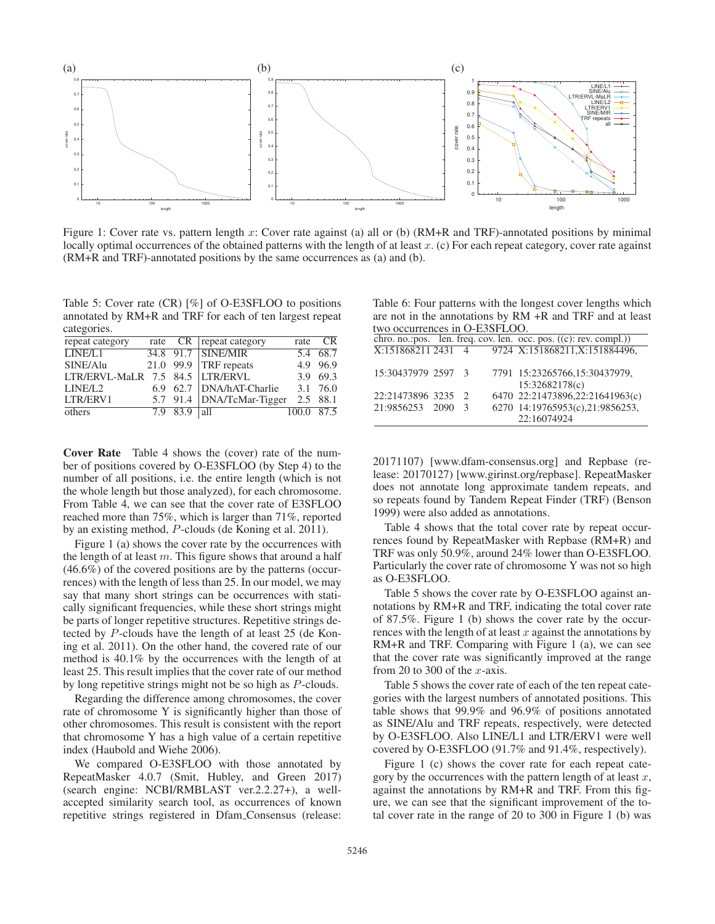

Figure 1: Cover rate vs. pattern length x: Cover rate against (a) all or (b) (RM+R and TRF)-annotated positions by minimal locally optimal occurrences of the obtained patterns with the length of at least  $x$ . (c) For each repeat category, cover rate against (RM+R and TRF)-annotated positions by the same occurrences as (a) and (b).

Table 5: Cover rate (CR) [%] of O-E3SFLOO to positions annotated by RM+R and TRF for each of ten largest repeat categories.

| repeat category                 |          | rate CR repeat category   | rate       | CR         |
|---------------------------------|----------|---------------------------|------------|------------|
| LINE/L1                         |          | 34.8 91.7 SINE/MIR        |            | $5.4$ 68.7 |
| SINE/Alu                        |          | 21.0 99.9 TRF repeats     |            | 4.9 96.9   |
| LTR/ERVL-MaLR 7.5 84.5 LTR/ERVL |          |                           |            | 3.9 69.3   |
| LINE/L2                         |          | 6.9 62.7 DNA/hAT-Charlie  |            | 3.1 76.0   |
| LTR/ERV1                        |          | 5.7 91.4 DNA/TcMar-Tigger | 2.5 88.1   |            |
| others                          | 7.9 83.9 | all                       | 100.0 87.5 |            |
|                                 |          |                           |            |            |

Cover Rate Table 4 shows the (cover) rate of the number of positions covered by O-E3SFLOO (by Step 4) to the number of all positions, i.e. the entire length (which is not the whole length but those analyzed), for each chromosome. From Table 4, we can see that the cover rate of E3SFLOO reached more than 75%, which is larger than 71%, reported by an existing method, P-clouds (de Koning et al. 2011).

Figure 1 (a) shows the cover rate by the occurrences with the length of at least  $m$ . This figure shows that around a half (46.6%) of the covered positions are by the patterns (occurrences) with the length of less than 25. In our model, we may say that many short strings can be occurrences with statically significant frequencies, while these short strings might be parts of longer repetitive structures. Repetitive strings detected by P-clouds have the length of at least 25 (de Koning et al. 2011). On the other hand, the covered rate of our method is 40.1% by the occurrences with the length of at least 25. This result implies that the cover rate of our method by long repetitive strings might not be so high as P-clouds.

Regarding the difference among chromosomes, the cover rate of chromosome Y is significantly higher than those of other chromosomes. This result is consistent with the report that chromosome Y has a high value of a certain repetitive index (Haubold and Wiehe 2006).

We compared O-E3SFLOO with those annotated by RepeatMasker 4.0.7 (Smit, Hubley, and Green 2017) (search engine: NCBI/RMBLAST ver.2.2.27+), a wellaccepted similarity search tool, as occurrences of known repetitive strings registered in Dfam Consensus (release:

Table 6: Four patterns with the longest cover lengths which are not in the annotations by RM +R and TRF and at least

| two occurrences in O-E3SFLOO. |  |               |  |                                                                                           |  |  |
|-------------------------------|--|---------------|--|-------------------------------------------------------------------------------------------|--|--|
|                               |  |               |  | chro. no.:pos. len. freq. cov. len. occ. pos. $((c): rev.$ compl.))                       |  |  |
|                               |  |               |  | $\overline{X:1518682112431}$ 4 9724 $\overline{X:151868211}$ , $\overline{X:151884496}$ , |  |  |
|                               |  |               |  |                                                                                           |  |  |
| 15:30437979 2597 3            |  |               |  | 7791 15:23265766,15:30437979,                                                             |  |  |
|                               |  |               |  | 15:32682178(c)                                                                            |  |  |
| 22:21473896 3235 2            |  |               |  | 6470 22:21473896,22:21641963(c)                                                           |  |  |
| 21:9856253 2090               |  | $\mathcal{R}$ |  | 6270 14:19765953(c),21:9856253,                                                           |  |  |
|                               |  |               |  | 22:16074924                                                                               |  |  |
|                               |  |               |  |                                                                                           |  |  |

20171107) [www.dfam-consensus.org] and Repbase (release: 20170127) [www.girinst.org/repbase]. RepeatMasker does not annotate long approximate tandem repeats, and so repeats found by Tandem Repeat Finder (TRF) (Benson 1999) were also added as annotations.

Table 4 shows that the total cover rate by repeat occurrences found by RepeatMasker with Repbase (RM+R) and TRF was only 50.9%, around 24% lower than O-E3SFLOO. Particularly the cover rate of chromosome Y was not so high as O-E3SFLOO.

Table 5 shows the cover rate by O-E3SFLOO against annotations by RM+R and TRF, indicating the total cover rate of 87.5%. Figure 1 (b) shows the cover rate by the occurrences with the length of at least  $x$  against the annotations by RM+R and TRF. Comparing with Figure 1 (a), we can see that the cover rate was significantly improved at the range from 20 to 300 of the  $x$ -axis.

Table 5 shows the cover rate of each of the ten repeat categories with the largest numbers of annotated positions. This table shows that 99.9% and 96.9% of positions annotated as SINE/Alu and TRF repeats, respectively, were detected by O-E3SFLOO. Also LINE/L1 and LTR/ERV1 were well covered by O-E3SFLOO (91.7% and 91.4%, respectively).

Figure 1 (c) shows the cover rate for each repeat category by the occurrences with the pattern length of at least  $x$ , against the annotations by RM+R and TRF. From this figure, we can see that the significant improvement of the total cover rate in the range of 20 to 300 in Figure 1 (b) was